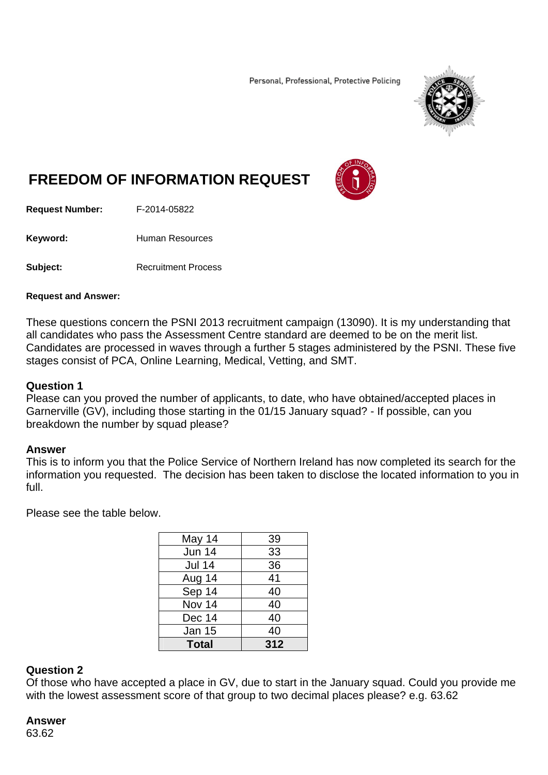Personal, Professional, Protective Policing



# **FREEDOM OF INFORMATION REQUEST**



**Request Number:** F-2014-05822

Keyword: **Human Resources** 

**Subject:** Recruitment Process

#### **Request and Answer:**

These questions concern the PSNI 2013 recruitment campaign (13090). It is my understanding that all candidates who pass the Assessment Centre standard are deemed to be on the merit list. Candidates are processed in waves through a further 5 stages administered by the PSNI. These five stages consist of PCA, Online Learning, Medical, Vetting, and SMT.

#### **Question 1**

Please can you proved the number of applicants, to date, who have obtained/accepted places in Garnerville (GV), including those starting in the 01/15 January squad? - If possible, can you breakdown the number by squad please?

#### **Answer**

This is to inform you that the Police Service of Northern Ireland has now completed its search for the information you requested. The decision has been taken to disclose the located information to you in full.

Please see the table below.

| 39  |
|-----|
| 33  |
| 36  |
| 41  |
| 40  |
| 40  |
| 40  |
| 40  |
| 312 |
|     |

#### **Question 2**

Of those who have accepted a place in GV, due to start in the January squad. Could you provide me with the lowest assessment score of that group to two decimal places please? e.g. 63.62

# **Answer**

63.62